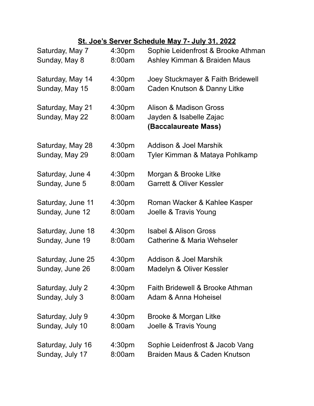## **St. Joe's Server Schedule May 7- July 31, 2022**

| Saturday, May 7                    | 4:30 <sub>pm</sub>           | Sophie Leidenfrost & Brooke Athman                                        |
|------------------------------------|------------------------------|---------------------------------------------------------------------------|
| Sunday, May 8                      | 8:00am                       | Ashley Kimman & Braiden Maus                                              |
| Saturday, May 14                   | 4:30 <sub>pm</sub>           | Joey Stuckmayer & Faith Bridewell                                         |
| Sunday, May 15                     | 8:00am                       | Caden Knutson & Danny Litke                                               |
| Saturday, May 21<br>Sunday, May 22 | 4:30 <sub>pm</sub><br>8:00am | Alison & Madison Gross<br>Jayden & Isabelle Zajac<br>(Baccalaureate Mass) |
| Saturday, May 28                   | 4:30 <sub>pm</sub>           | Addison & Joel Marshik                                                    |
| Sunday, May 29                     | 8:00am                       | Tyler Kimman & Mataya Pohlkamp                                            |
| Saturday, June 4                   | 4:30 <sub>pm</sub>           | Morgan & Brooke Litke                                                     |
| Sunday, June 5                     | 8:00am                       | <b>Garrett &amp; Oliver Kessler</b>                                       |
| Saturday, June 11                  | 4:30 <sub>pm</sub>           | Roman Wacker & Kahlee Kasper                                              |
| Sunday, June 12                    | 8:00am                       | Joelle & Travis Young                                                     |
| Saturday, June 18                  | 4:30 <sub>pm</sub>           | <b>Isabel &amp; Alison Gross</b>                                          |
| Sunday, June 19                    | 8:00am                       | Catherine & Maria Wehseler                                                |
| Saturday, June 25                  | 4:30 <sub>pm</sub>           | Addison & Joel Marshik                                                    |
| Sunday, June 26                    | 8:00am                       | Madelyn & Oliver Kessler                                                  |
| Saturday, July 2                   | 4:30 <sub>pm</sub>           | Faith Bridewell & Brooke Athman                                           |
| Sunday, July 3                     | 8:00am                       | Adam & Anna Hoheisel                                                      |
| Saturday, July 9                   | 4:30 <sub>pm</sub>           | Brooke & Morgan Litke                                                     |
| Sunday, July 10                    | 8:00am                       | Joelle & Travis Young                                                     |
| Saturday, July 16                  | 4:30 <sub>pm</sub>           | Sophie Leidenfrost & Jacob Vang                                           |
| Sunday, July 17                    | 8:00am                       | Braiden Maus & Caden Knutson                                              |